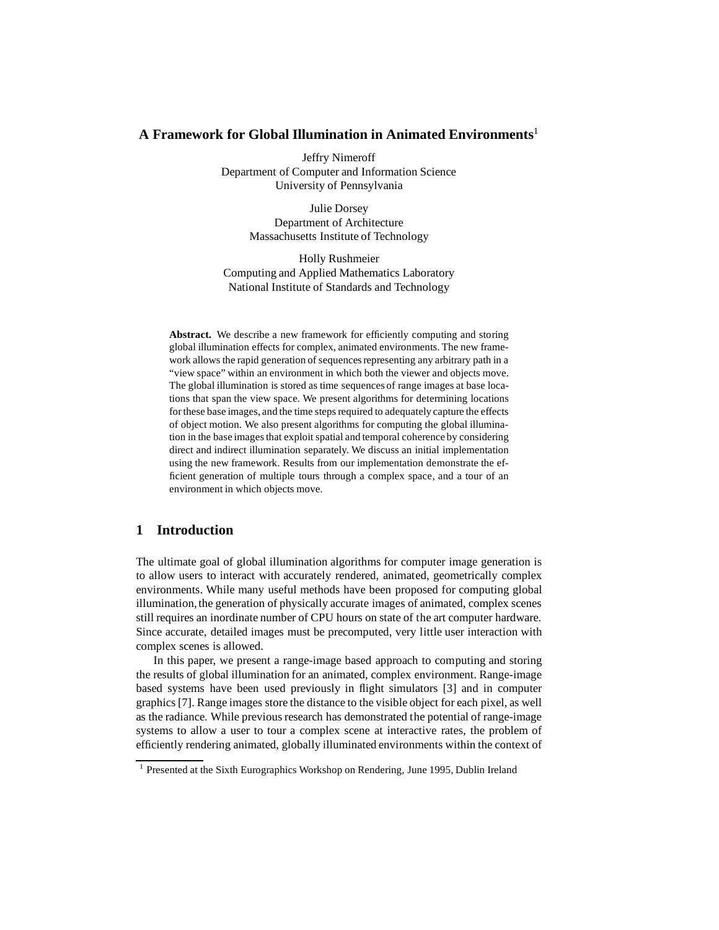## **A Framework for Global Illumination in Animated Environments**<sup>1</sup>

Jeffry Nimeroff Department of Computer and Information Science University of Pennsylvania

> Julie Dorsey Department of Architecture Massachusetts Institute of Technology

Holly Rushmeier Computing and Applied Mathematics Laboratory National Institute of Standards and Technology

Abstract. We describe a new framework for efficiently computing and storing global illumination effects for complex, animated environments. The new framework allows the rapid generation of sequences representing any arbitrary path in a "view space" within an environment in which both the viewer and objects move. The global illumination is stored as time sequences of range images at base locations that span the view space. We present algorithms for determining locations for these base images, and the time steps required to adequately capture the effects of object motion. We also present algorithms for computing the global illumination in the base images that exploit spatial and temporal coherence by considering direct and indirect illumination separately. We discuss an initial implementation using the new framework. Results from our implementation demonstrate the efficient generation of multiple tours through a complex space, and a tour of an environment in which objects move.

# **1 Introduction**

The ultimate goal of global illumination algorithms for computer image generation is to allow users to interact with accurately rendered, animated, geometrically complex environments. While many useful methods have been proposed for computing global illumination, the generation of physically accurate images of animated, complex scenes still requires an inordinate number of CPU hours on state of the art computer hardware. Since accurate, detailed images must be precomputed, very little user interaction with complex scenes is allowed.

In this paper, we present a range-image based approach to computing and storing the results of global illumination for an animated, complex environment. Range-image based systems have been used previously in flight simulators [3] and in computer graphics [7]. Range images store the distance to the visible object for each pixel, as well as the radiance. While previous research has demonstrated the potential of range-image systems to allow a user to tour a complex scene at interactive rates, the problem of efficiently rendering animated, globally illuminated environments within the context of

<sup>&</sup>lt;sup>1</sup> Presented at the Sixth Eurographics Workshop on Rendering, June 1995, Dublin Ireland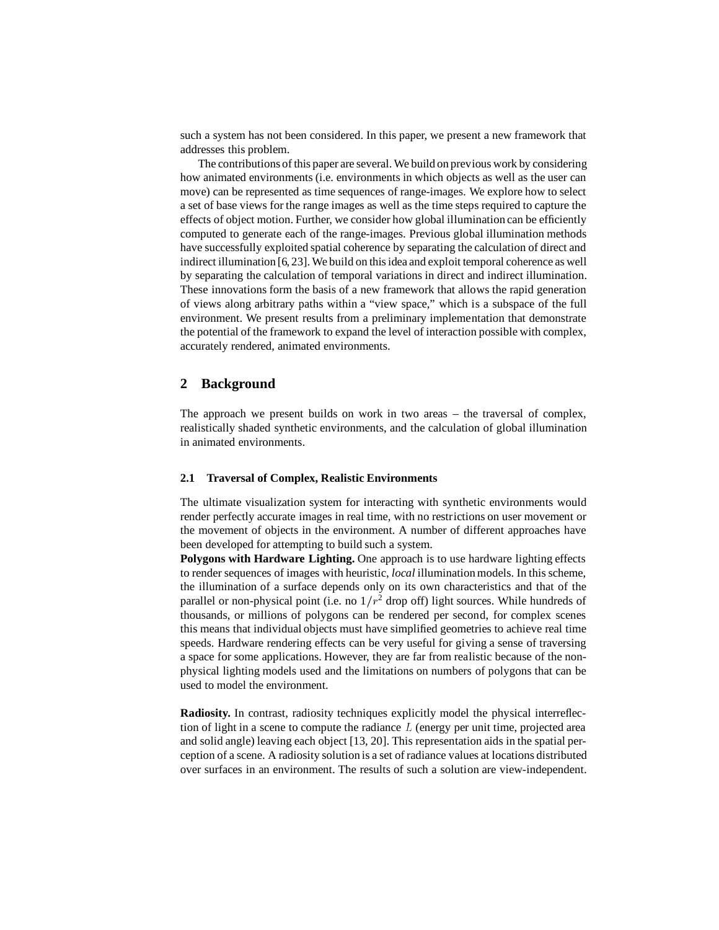such a system has not been considered. In this paper, we present a new framework that addresses this problem.

The contributions of this paper are several. We build on previous work by considering how animated environments (i.e. environments in which objects as well as the user can move) can be represented as time sequences of range-images. We explore how to select a set of base views for the range images as well as the time steps required to capture the effects of object motion. Further, we consider how global illumination can be efficiently computed to generate each of the range-images. Previous global illumination methods have successfully exploited spatial coherence by separating the calculation of direct and indirect illumination [6, 23]. We build on this idea and exploit temporal coherence as well by separating the calculation of temporal variations in direct and indirect illumination. These innovations form the basis of a new framework that allows the rapid generation of views along arbitrary paths within a "view space," which is a subspace of the full environment. We present results from a preliminary implementation that demonstrate the potential of the framework to expand the level of interaction possible with complex, accurately rendered, animated environments.

### **2 Background**

The approach we present builds on work in two areas – the traversal of complex, realistically shaded synthetic environments, and the calculation of global illumination in animated environments.

### **2.1 Traversal of Complex, Realistic Environments**

The ultimate visualization system for interacting with synthetic environments would render perfectly accurate images in real time, with no restrictions on user movement or the movement of objects in the environment. A number of different approaches have been developed for attempting to build such a system.

**Polygons with Hardware Lighting.** One approach is to use hardware lighting effects to render sequences of images with heuristic, *local* illumination models. In this scheme, the illumination of a surface depends only on its own characteristics and that of the parallel or non-physical point (i.e. no  $1/r^2$  drop off) light sources. While hundreds of thousands, or millions of polygons can be rendered per second, for complex scenes this means that individual objects must have simplified geometries to achieve real time speeds. Hardware rendering effects can be very useful for giving a sense of traversing a space for some applications. However, they are far from realistic because of the nonphysical lighting models used and the limitations on numbers of polygons that can be used to model the environment.

**Radiosity.** In contrast, radiosity techniques explicitly model the physical interreflection of light in a scene to compute the radiance  $L$  (energy per unit time, projected area and solid angle) leaving each object [13, 20]. This representation aids in the spatial perception of a scene. A radiosity solution is a set of radiance values at locations distributed over surfaces in an environment. The results of such a solution are view-independent.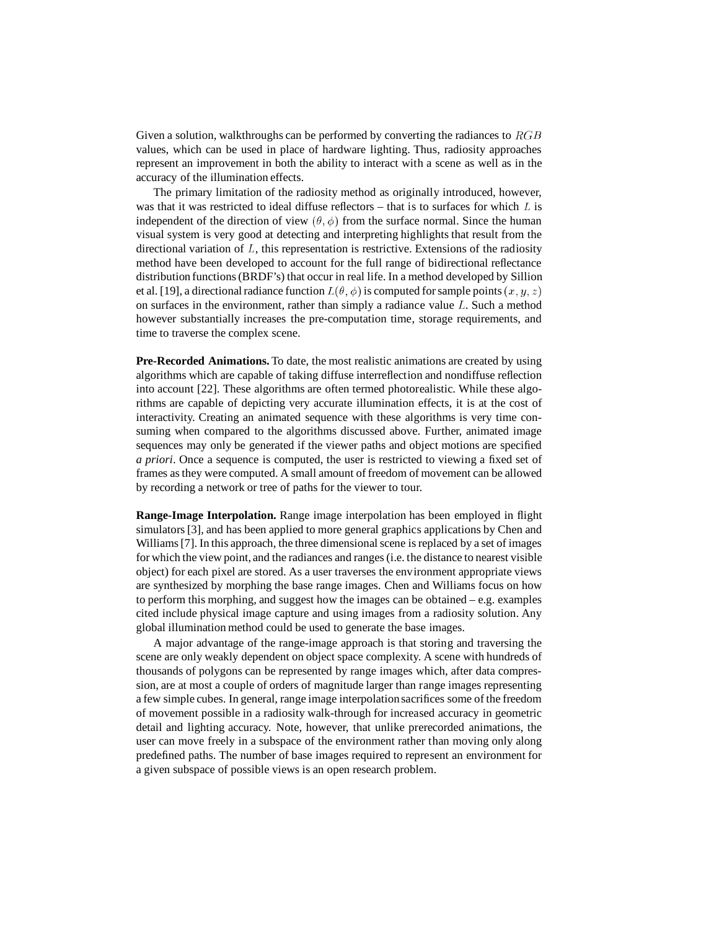Given a solution, walkthroughs can be performed by converting the radiances to  $RGB$ values, which can be used in place of hardware lighting. Thus, radiosity approaches represent an improvement in both the ability to interact with a scene as well as in the accuracy of the illumination effects.

The primary limitation of the radiosity method as originally introduced, however, was that it was restricted to ideal diffuse reflectors – that is to surfaces for which  $L$  is independent of the direction of view  $(\theta, \phi)$  from the surface normal. Since the human visual system is very good at detecting and interpreting highlights that result from the directional variation of  $L$ , this representation is restrictive. Extensions of the radiosity method have been developed to account for the full range of bidirectional reflectance distribution functions (BRDF's) that occur in real life. In a method developed by Sillion et al. [19], a directional radiance function  $L(\theta, \phi)$  is computed for sample points  $(x, y, z)$ on surfaces in the environment, rather than simply a radiance value <sup>L</sup>. Such a method however substantially increases the pre-computation time, storage requirements, and time to traverse the complex scene.

**Pre-Recorded Animations.** To date, the most realistic animations are created by using algorithms which are capable of taking diffuse interreflection and nondiffuse reflection into account [22]. These algorithms are often termed photorealistic. While these algorithms are capable of depicting very accurate illumination effects, it is at the cost of interactivity. Creating an animated sequence with these algorithms is very time consuming when compared to the algorithms discussed above. Further, animated image sequences may only be generated if the viewer paths and object motions are specified *a priori*. Once a sequence is computed, the user is restricted to viewing a fixed set of frames as they were computed. A small amount of freedom of movement can be allowed by recording a network or tree of paths for the viewer to tour.

**Range-Image Interpolation.** Range image interpolation has been employed in flight simulators [3], and has been applied to more general graphics applications by Chen and Williams [7]. In this approach, the three dimensional scene is replaced by a set of images for which the view point, and the radiances and ranges (i.e. the distance to nearest visible object) for each pixel are stored. As a user traverses the environment appropriate views are synthesized by morphing the base range images. Chen and Williams focus on how to perform this morphing, and suggest how the images can be obtained – e.g. examples cited include physical image capture and using images from a radiosity solution. Any global illumination method could be used to generate the base images.

A major advantage of the range-image approach is that storing and traversing the scene are only weakly dependent on object space complexity. A scene with hundreds of thousands of polygons can be represented by range images which, after data compression, are at most a couple of orders of magnitude larger than range images representing a few simple cubes. In general, range image interpolation sacrifices some of the freedom of movement possible in a radiosity walk-through for increased accuracy in geometric detail and lighting accuracy. Note, however, that unlike prerecorded animations, the user can move freely in a subspace of the environment rather than moving only along predefined paths. The number of base images required to represent an environment for a given subspace of possible views is an open research problem.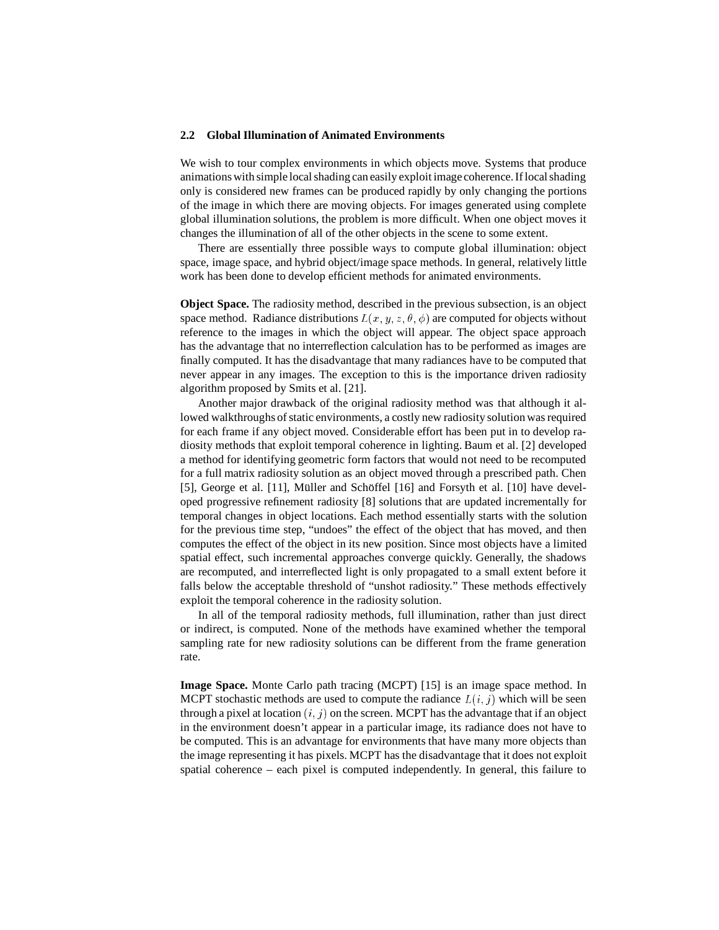### **2.2 Global Illumination of Animated Environments**

We wish to tour complex environments in which objects move. Systems that produce animations with simple local shading can easily exploit image coherence. If local shading only is considered new frames can be produced rapidly by only changing the portions of the image in which there are moving objects. For images generated using complete global illumination solutions, the problem is more difficult. When one object moves it changes the illumination of all of the other objects in the scene to some extent.

There are essentially three possible ways to compute global illumination: object space, image space, and hybrid object/image space methods. In general, relatively little work has been done to develop efficient methods for animated environments.

**Object Space.** The radiosity method, described in the previous subsection, is an object space method. Radiance distributions  $L(x, y, z, \theta, \phi)$  are computed for objects without reference to the images in which the object will appear. The object space approach has the advantage that no interreflection calculation has to be performed as images are finally computed. It has the disadvantage that many radiances have to be computed that never appear in any images. The exception to this is the importance driven radiosity algorithm proposed by Smits et al. [21].

Another major drawback of the original radiosity method was that although it allowed walkthroughs of static environments, a costly new radiosity solution was required for each frame if any object moved. Considerable effort has been put in to develop radiosity methods that exploit temporal coherence in lighting. Baum et al. [2] developed a method for identifying geometric form factors that would not need to be recomputed for a full matrix radiosity solution as an object moved through a prescribed path. Chen [5], George et al. [11], Müller and Schöffel [16] and Forsyth et al. [10] have developed progressive refinement radiosity [8] solutions that are updated incrementally for temporal changes in object locations. Each method essentially starts with the solution for the previous time step, "undoes" the effect of the object that has moved, and then computes the effect of the object in its new position. Since most objects have a limited spatial effect, such incremental approaches converge quickly. Generally, the shadows are recomputed, and interreflected light is only propagated to a small extent before it falls below the acceptable threshold of "unshot radiosity." These methods effectively exploit the temporal coherence in the radiosity solution.

In all of the temporal radiosity methods, full illumination, rather than just direct or indirect, is computed. None of the methods have examined whether the temporal sampling rate for new radiosity solutions can be different from the frame generation rate.

**Image Space.** Monte Carlo path tracing (MCPT) [15] is an image space method. In MCPT stochastic methods are used to compute the radiance  $L(i, j)$  which will be seen through a pixel at location  $(i, j)$  on the screen. MCPT has the advantage that if an object in the environment doesn't appear in a particular image, its radiance does not have to be computed. This is an advantage for environments that have many more objects than the image representing it has pixels. MCPT has the disadvantage that it does not exploit spatial coherence – each pixel is computed independently. In general, this failure to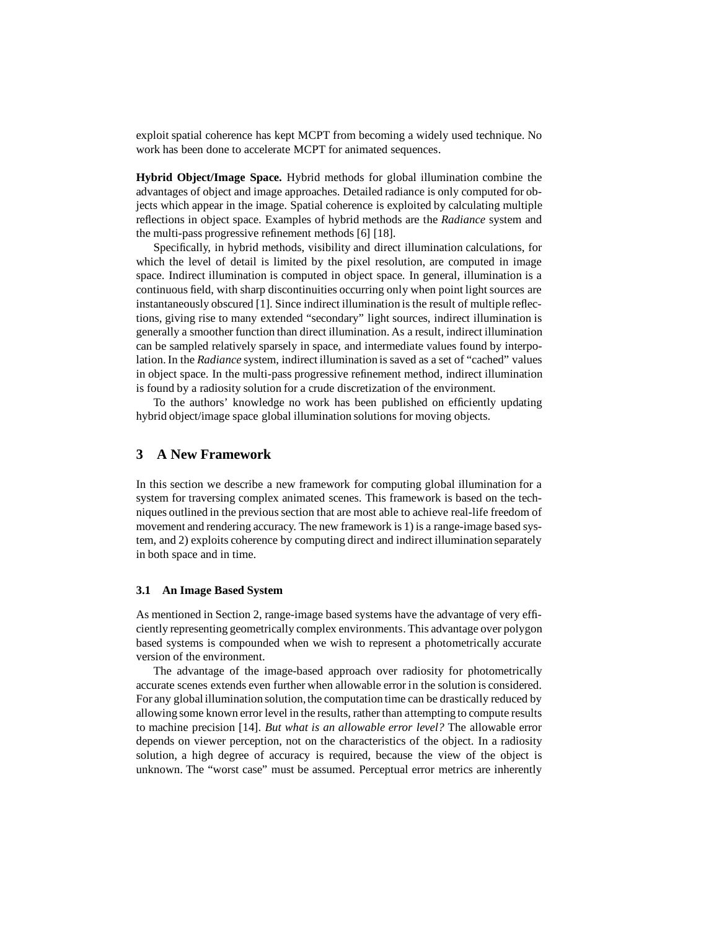exploit spatial coherence has kept MCPT from becoming a widely used technique. No work has been done to accelerate MCPT for animated sequences.

**Hybrid Object/Image Space.** Hybrid methods for global illumination combine the advantages of object and image approaches. Detailed radiance is only computed for objects which appear in the image. Spatial coherence is exploited by calculating multiple reflections in object space. Examples of hybrid methods are the *Radiance* system and the multi-pass progressive refinement methods [6] [18].

Specifically, in hybrid methods, visibility and direct illumination calculations, for which the level of detail is limited by the pixel resolution, are computed in image space. Indirect illumination is computed in object space. In general, illumination is a continuous field, with sharp discontinuities occurring only when point light sources are instantaneously obscured [1]. Since indirect illumination is the result of multiple reflections, giving rise to many extended "secondary" light sources, indirect illumination is generally a smoother function than direct illumination. As a result, indirect illumination can be sampled relatively sparsely in space, and intermediate values found by interpolation. In the *Radiance* system, indirect illumination is saved as a set of "cached" values in object space. In the multi-pass progressive refinement method, indirect illumination is found by a radiosity solution for a crude discretization of the environment.

To the authors' knowledge no work has been published on efficiently updating hybrid object/image space global illumination solutions for moving objects.

# **3 A New Framework**

In this section we describe a new framework for computing global illumination for a system for traversing complex animated scenes. This framework is based on the techniques outlined in the previous section that are most able to achieve real-life freedom of movement and rendering accuracy. The new framework is 1) is a range-image based system, and 2) exploits coherence by computing direct and indirect illumination separately in both space and in time.

### **3.1 An Image Based System**

As mentioned in Section 2, range-image based systems have the advantage of very efficiently representing geometrically complex environments. This advantage over polygon based systems is compounded when we wish to represent a photometrically accurate version of the environment.

The advantage of the image-based approach over radiosity for photometrically accurate scenes extends even further when allowable error in the solution is considered. For any global illumination solution, the computation time can be drastically reduced by allowing some known error level in the results, rather than attempting to compute results to machine precision [14]. *But what is an allowable error level?* The allowable error depends on viewer perception, not on the characteristics of the object. In a radiosity solution, a high degree of accuracy is required, because the view of the object is unknown. The "worst case" must be assumed. Perceptual error metrics are inherently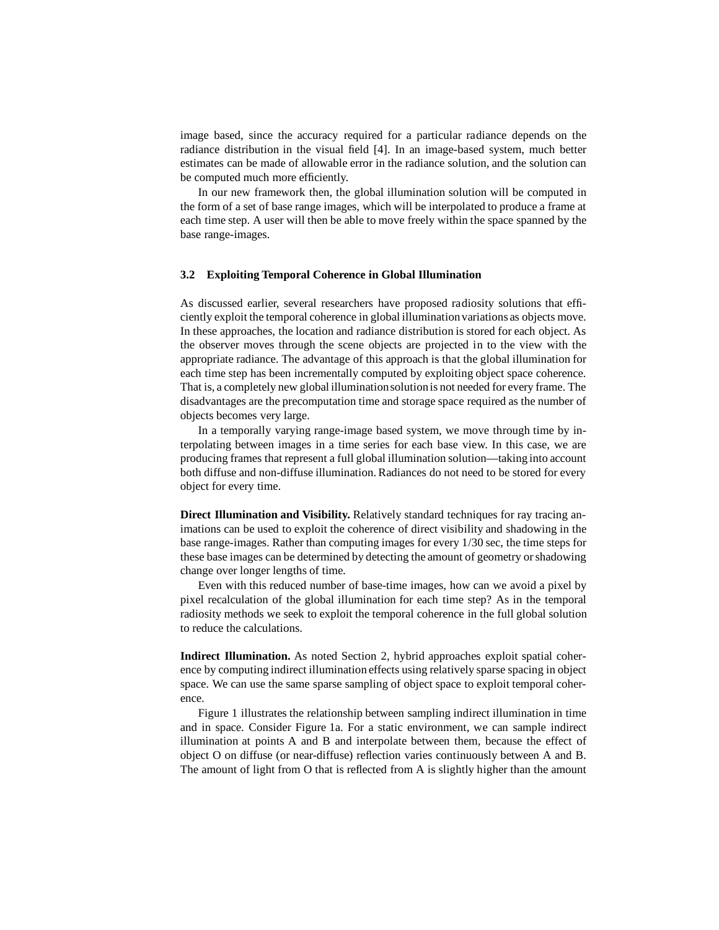image based, since the accuracy required for a particular radiance depends on the radiance distribution in the visual field [4]. In an image-based system, much better estimates can be made of allowable error in the radiance solution, and the solution can be computed much more efficiently.

In our new framework then, the global illumination solution will be computed in the form of a set of base range images, which will be interpolated to produce a frame at each time step. A user will then be able to move freely within the space spanned by the base range-images.

#### **3.2 Exploiting Temporal Coherence in Global Illumination**

As discussed earlier, several researchers have proposed radiosity solutions that efficiently exploit the temporal coherence in global illumination variations as objects move. In these approaches, the location and radiance distribution is stored for each object. As the observer moves through the scene objects are projected in to the view with the appropriate radiance. The advantage of this approach is that the global illumination for each time step has been incrementally computed by exploiting object space coherence. That is, a completely new global illuminationsolution is not needed for every frame. The disadvantages are the precomputation time and storage space required as the number of objects becomes very large.

In a temporally varying range-image based system, we move through time by interpolating between images in a time series for each base view. In this case, we are producing frames that represent a full global illumination solution—taking into account both diffuse and non-diffuse illumination. Radiances do not need to be stored for every object for every time.

**Direct Illumination and Visibility.** Relatively standard techniques for ray tracing animations can be used to exploit the coherence of direct visibility and shadowing in the base range-images. Rather than computing images for every 1/30 sec, the time steps for these base images can be determined by detecting the amount of geometry or shadowing change over longer lengths of time.

Even with this reduced number of base-time images, how can we avoid a pixel by pixel recalculation of the global illumination for each time step? As in the temporal radiosity methods we seek to exploit the temporal coherence in the full global solution to reduce the calculations.

**Indirect Illumination.** As noted Section 2, hybrid approaches exploit spatial coherence by computing indirect illumination effects using relatively sparse spacing in object space. We can use the same sparse sampling of object space to exploit temporal coherence.

Figure 1 illustrates the relationship between sampling indirect illumination in time and in space. Consider Figure 1a. For a static environment, we can sample indirect illumination at points A and B and interpolate between them, because the effect of object O on diffuse (or near-diffuse) reflection varies continuously between A and B. The amount of light from O that is reflected from A is slightly higher than the amount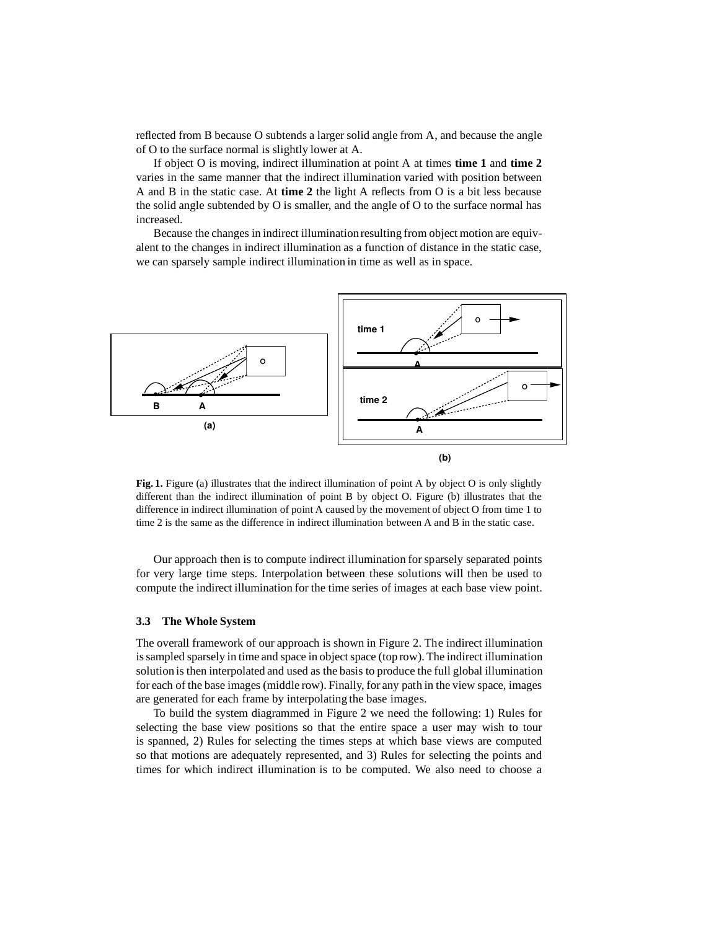reflected from B because O subtends a larger solid angle from A, and because the angle of O to the surface normal is slightly lower at A.

If object O is moving, indirect illumination at point A at times **time 1** and **time 2** varies in the same manner that the indirect illumination varied with position between A and B in the static case. At **time 2** the light A reflects from O is a bit less because the solid angle subtended by O is smaller, and the angle of O to the surface normal has increased.

Because the changes in indirect illumination resulting from object motion are equivalent to the changes in indirect illumination as a function of distance in the static case, we can sparsely sample indirect illumination in time as well as in space.



**Fig. 1.** Figure (a) illustrates that the indirect illumination of point A by object O is only slightly different than the indirect illumination of point B by object O. Figure (b) illustrates that the difference in indirect illumination of point A caused by the movement of object O from time 1 to time 2 is the same as the difference in indirect illumination between A and B in the static case.

Our approach then is to compute indirect illumination for sparsely separated points for very large time steps. Interpolation between these solutions will then be used to compute the indirect illumination for the time series of images at each base view point.

### **3.3 The Whole System**

The overall framework of our approach is shown in Figure 2. The indirect illumination is sampled sparsely in time and space in object space (top row). The indirect illumination solution is then interpolated and used as the basis to produce the full global illumination for each of the base images (middle row). Finally, for any path in the view space, images are generated for each frame by interpolating the base images.

To build the system diagrammed in Figure 2 we need the following: 1) Rules for selecting the base view positions so that the entire space a user may wish to tour is spanned, 2) Rules for selecting the times steps at which base views are computed so that motions are adequately represented, and 3) Rules for selecting the points and times for which indirect illumination is to be computed. We also need to choose a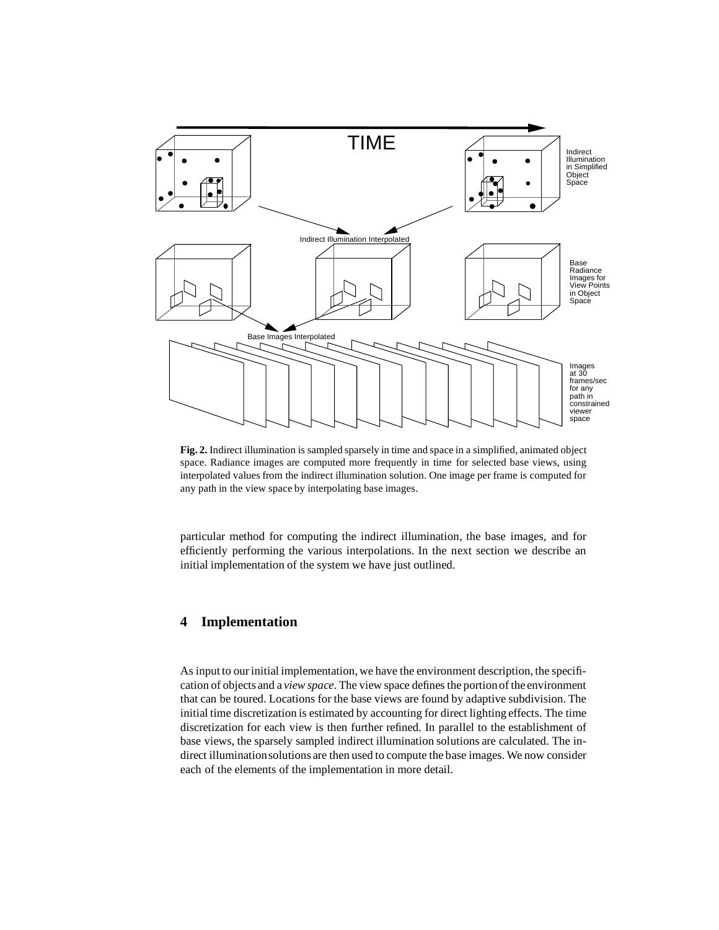

**Fig. 2.** Indirect illumination is sampled sparsely in time and space in a simplified, animated object space. Radiance images are computed more frequently in time for selected base views, using interpolated values from the indirect illumination solution. One image per frame is computed for any path in the view space by interpolating base images.

particular method for computing the indirect illumination, the base images, and for efficiently performing the various interpolations. In the next section we describe an initial implementation of the system we have just outlined.

# **4 Implementation**

As input to our initial implementation, we have the environment description, the specification of objects and a *view space*. The view space defines the portion of the environment that can be toured. Locations for the base views are found by adaptive subdivision. The initial time discretization is estimated by accounting for direct lighting effects. The time discretization for each view is then further refined. In parallel to the establishment of base views, the sparsely sampled indirect illumination solutions are calculated. The indirect illuminationsolutions are then used to compute the base images. We now consider each of the elements of the implementation in more detail.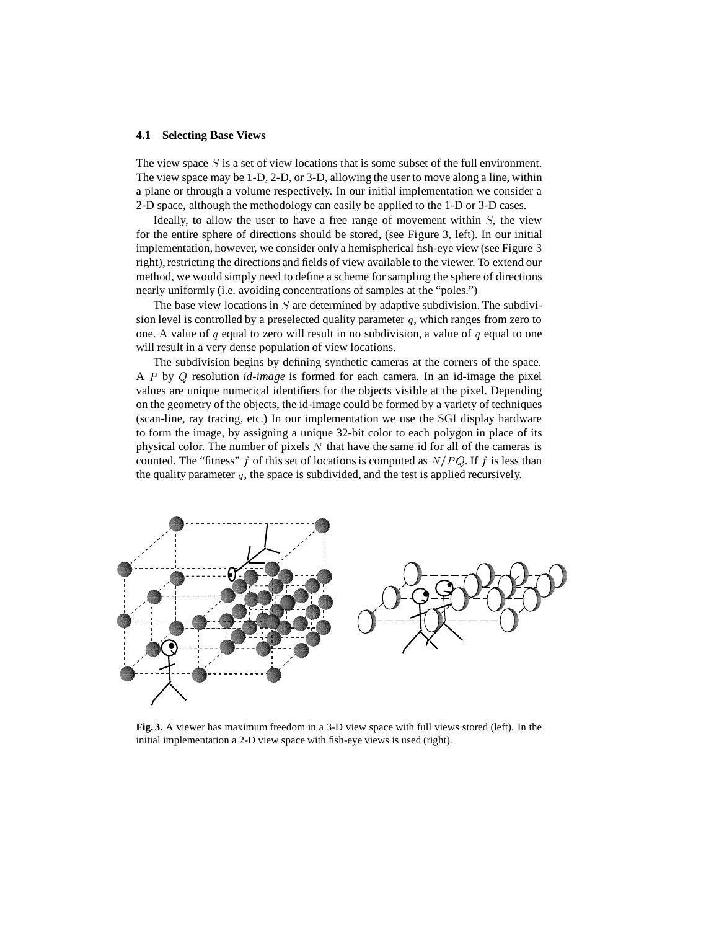### **4.1 Selecting Base Views**

The view space  $S$  is a set of view locations that is some subset of the full environment. The view space may be 1-D, 2-D, or 3-D, allowing the user to move along a line, within a plane or through a volume respectively. In our initial implementation we consider a 2-D space, although the methodology can easily be applied to the 1-D or 3-D cases.

Ideally, to allow the user to have a free range of movement within  $S$ , the view for the entire sphere of directions should be stored, (see Figure 3, left). In our initial implementation, however, we consider only a hemispherical fish-eye view (see Figure 3 right), restricting the directions and fields of view available to the viewer. To extend our method, we would simply need to define a scheme for sampling the sphere of directions nearly uniformly (i.e. avoiding concentrations of samples at the "poles.")

The base view locations in  $S$  are determined by adaptive subdivision. The subdivision level is controlled by a preselected quality parameter  $q$ , which ranges from zero to one. A value of q equal to zero will result in no subdivision, a value of q equal to one will result in a very dense population of view locations.

The subdivision begins by defining synthetic cameras at the corners of the space. A <sup>P</sup> by <sup>Q</sup> resolution *id-image* is formed for each camera. In an id-image the pixel values are unique numerical identifiers for the objects visible at the pixel. Depending on the geometry of the objects, the id-image could be formed by a variety of techniques (scan-line, ray tracing, etc.) In our implementation we use the SGI display hardware to form the image, by assigning a unique 32-bit color to each polygon in place of its physical color. The number of pixels  $N$  that have the same id for all of the cameras is counted. The "fitness" f of this set of locations is computed as  $N/PQ$ . If f is less than the quality parameter  $q$ , the space is subdivided, and the test is applied recursively.



**Fig. 3.** A viewer has maximum freedom in a 3-D view space with full views stored (left). In the initial implementation a 2-D view space with fish-eye views is used (right).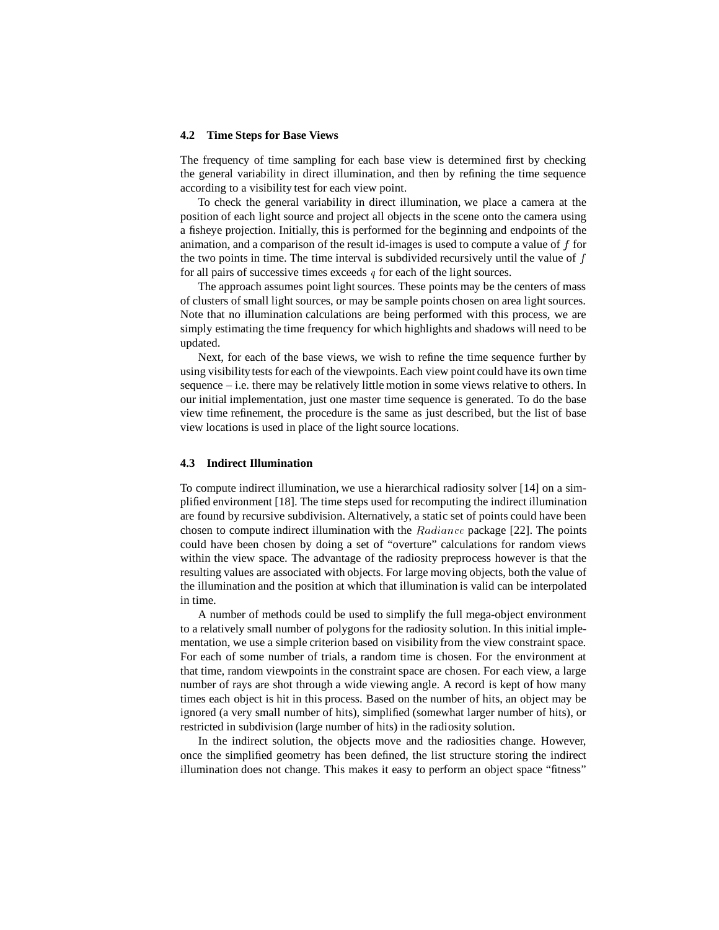### **4.2 Time Steps for Base Views**

The frequency of time sampling for each base view is determined first by checking the general variability in direct illumination, and then by refining the time sequence according to a visibility test for each view point.

To check the general variability in direct illumination, we place a camera at the position of each light source and project all objects in the scene onto the camera using a fisheye projection. Initially, this is performed for the beginning and endpoints of the animation, and a comparison of the result id-images is used to compute a value of <sup>f</sup> for the two points in time. The time interval is subdivided recursively until the value of  $f$ for all pairs of successive times exceeds  $q$  for each of the light sources.

The approach assumes point light sources. These points may be the centers of mass of clusters of small light sources, or may be sample points chosen on area light sources. Note that no illumination calculations are being performed with this process, we are simply estimating the time frequency for which highlights and shadows will need to be updated.

Next, for each of the base views, we wish to refine the time sequence further by using visibility tests for each of the viewpoints. Each view point could have its own time sequence – i.e. there may be relatively little motion in some views relative to others. In our initial implementation, just one master time sequence is generated. To do the base view time refinement, the procedure is the same as just described, but the list of base view locations is used in place of the light source locations.

#### **4.3 Indirect Illumination**

To compute indirect illumination, we use a hierarchical radiosity solver [14] on a simplified environment [18]. The time steps used for recomputing the indirect illumination are found by recursive subdivision. Alternatively, a static set of points could have been chosen to compute indirect illumination with the Radiance package [22]. The points could have been chosen by doing a set of "overture" calculations for random views within the view space. The advantage of the radiosity preprocess however is that the resulting values are associated with objects. For large moving objects, both the value of the illumination and the position at which that illumination is valid can be interpolated in time.

A number of methods could be used to simplify the full mega-object environment to a relatively small number of polygons for the radiosity solution. In this initial implementation, we use a simple criterion based on visibility from the view constraint space. For each of some number of trials, a random time is chosen. For the environment at that time, random viewpoints in the constraint space are chosen. For each view, a large number of rays are shot through a wide viewing angle. A record is kept of how many times each object is hit in this process. Based on the number of hits, an object may be ignored (a very small number of hits), simplified (somewhat larger number of hits), or restricted in subdivision (large number of hits) in the radiosity solution.

In the indirect solution, the objects move and the radiosities change. However, once the simplified geometry has been defined, the list structure storing the indirect illumination does not change. This makes it easy to perform an object space "fitness"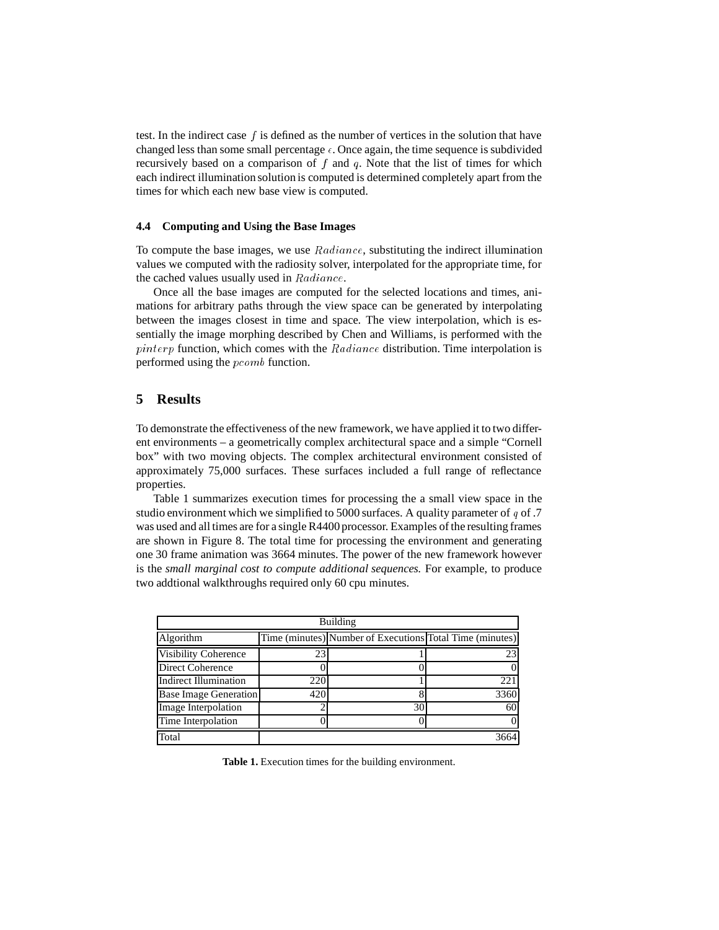test. In the indirect case  $f$  is defined as the number of vertices in the solution that have changed less than some small percentage  $\epsilon$ . Once again, the time sequence is subdivided recursively based on a comparison of  $f$  and  $g$ . Note that the list of times for which each indirect illumination solution is computed is determined completely apart from the times for which each new base view is computed.

### **4.4 Computing and Using the Base Images**

To compute the base images, we use Radiance, substituting the indirect illumination values we computed with the radiosity solver, interpolated for the appropriate time, for the cached values usually used in Radiance.

Once all the base images are computed for the selected locations and times, animations for arbitrary paths through the view space can be generated by interpolating between the images closest in time and space. The view interpolation, which is essentially the image morphing described by Chen and Williams, is performed with the  $pinterp$  function, which comes with the  $Radioance$  distribution. Time interpolation is performed using the pcomb function.

# **5 Results**

To demonstrate the effectiveness of the new framework, we have applied it to two different environments – a geometrically complex architectural space and a simple "Cornell box" with two moving objects. The complex architectural environment consisted of approximately 75,000 surfaces. These surfaces included a full range of reflectance properties.

Table 1 summarizes execution times for processing the a small view space in the studio environment which we simplified to 5000 surfaces. A quality parameter of  $q$  of .7 was used and all times are for a single R4400 processor. Examples of the resulting frames are shown in Figure 8. The total time for processing the environment and generating one 30 frame animation was 3664 minutes. The power of the new framework however is the *small marginal cost to compute additional sequences.* For example, to produce two addtional walkthroughs required only 60 cpu minutes.

| Building                     |     |                                                          |      |  |
|------------------------------|-----|----------------------------------------------------------|------|--|
| Algorithm                    |     | Time (minutes) Number of Executions Total Time (minutes) |      |  |
| <b>Visibility Coherence</b>  | 23  |                                                          | 23   |  |
| Direct Coherence             |     |                                                          | 0    |  |
| Indirect Illumination        | 220 |                                                          | 221  |  |
| <b>Base Image Generation</b> | 420 |                                                          | 3360 |  |
| Image Interpolation          |     | 30                                                       | 60   |  |
| Time Interpolation           |     |                                                          | 0    |  |
| Total                        |     |                                                          | 3664 |  |

**Table 1.** Execution times for the building environment.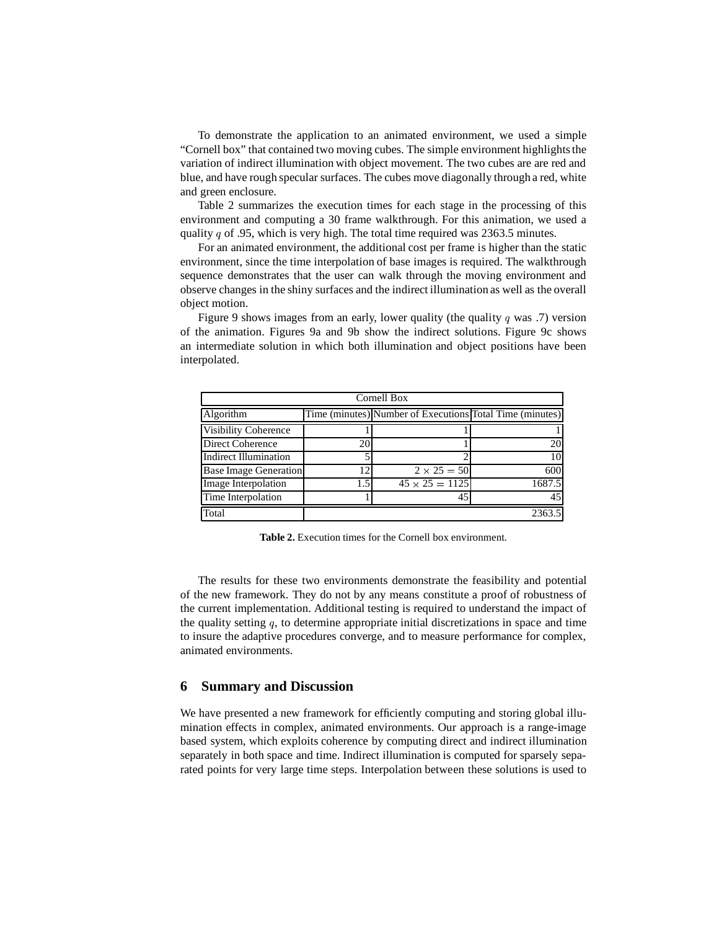To demonstrate the application to an animated environment, we used a simple "Cornell box" that contained two moving cubes. The simple environment highlights the variation of indirect illumination with object movement. The two cubes are are red and blue, and have rough specular surfaces. The cubes move diagonally through a red, white and green enclosure.

Table 2 summarizes the execution times for each stage in the processing of this environment and computing a 30 frame walkthrough. For this animation, we used a quality  $q$  of .95, which is very high. The total time required was 2363.5 minutes.

For an animated environment, the additional cost per frame is higher than the static environment, since the time interpolation of base images is required. The walkthrough sequence demonstrates that the user can walk through the moving environment and observe changes in the shiny surfaces and the indirect illumination as well as the overall object motion.

Figure 9 shows images from an early, lower quality (the quality q was .7) version of the animation. Figures 9a and 9b show the indirect solutions. Figure 9c shows an intermediate solution in which both illumination and object positions have been interpolated.

| Cornell Box                  |     |                                                          |        |  |
|------------------------------|-----|----------------------------------------------------------|--------|--|
| Algorithm                    |     | Time (minutes) Number of Executions Total Time (minutes) |        |  |
| Visibility Coherence         |     |                                                          |        |  |
| <b>Direct Coherence</b>      | 20  |                                                          | 20     |  |
| <b>Indirect Illumination</b> |     |                                                          | 10     |  |
| <b>Base Image Generation</b> | 12  | $2 \times 25 = 50$                                       | 600    |  |
| Image Interpolation          | 1.5 | $45 \times 25 = 1125$                                    | 1687.5 |  |
| Time Interpolation           |     | 45                                                       | 45     |  |
| Total                        |     |                                                          | 2363.5 |  |

**Table 2.** Execution times for the Cornell box environment.

The results for these two environments demonstrate the feasibility and potential of the new framework. They do not by any means constitute a proof of robustness of the current implementation. Additional testing is required to understand the impact of the quality setting  $q$ , to determine appropriate initial discretizations in space and time to insure the adaptive procedures converge, and to measure performance for complex, animated environments.

## **6 Summary and Discussion**

We have presented a new framework for efficiently computing and storing global illumination effects in complex, animated environments. Our approach is a range-image based system, which exploits coherence by computing direct and indirect illumination separately in both space and time. Indirect illumination is computed for sparsely separated points for very large time steps. Interpolation between these solutions is used to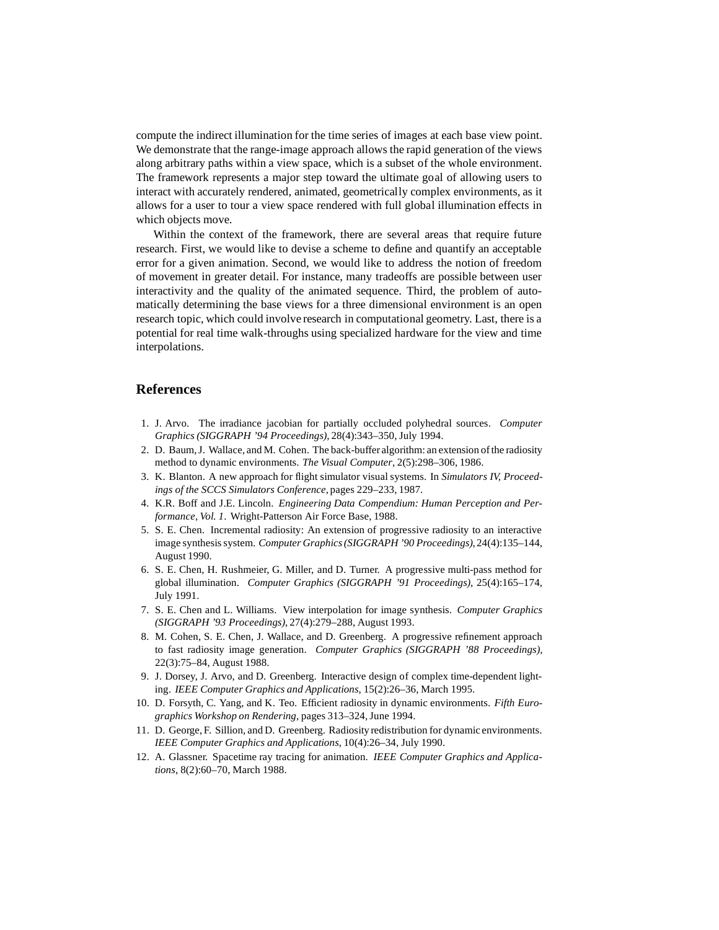compute the indirect illumination for the time series of images at each base view point. We demonstrate that the range-image approach allows the rapid generation of the views along arbitrary paths within a view space, which is a subset of the whole environment. The framework represents a major step toward the ultimate goal of allowing users to interact with accurately rendered, animated, geometrically complex environments, as it allows for a user to tour a view space rendered with full global illumination effects in which objects move.

Within the context of the framework, there are several areas that require future research. First, we would like to devise a scheme to define and quantify an acceptable error for a given animation. Second, we would like to address the notion of freedom of movement in greater detail. For instance, many tradeoffs are possible between user interactivity and the quality of the animated sequence. Third, the problem of automatically determining the base views for a three dimensional environment is an open research topic, which could involve research in computational geometry. Last, there is a potential for real time walk-throughs using specialized hardware for the view and time interpolations.

## **References**

- 1. J. Arvo. The irradiance jacobian for partially occluded polyhedral sources. *Computer Graphics (SIGGRAPH '94 Proceedings)*, 28(4):343–350, July 1994.
- 2. D. Baum, J. Wallace, and M. Cohen. The back-buffer algorithm: an extension of the radiosity method to dynamic environments. *The Visual Computer*, 2(5):298–306, 1986.
- 3. K. Blanton. A new approach for flight simulator visual systems. In *Simulators IV, Proceedings of the SCCS Simulators Conference*, pages 229–233, 1987.
- 4. K.R. Boff and J.E. Lincoln. *Engineering Data Compendium: Human Perception and Performance, Vol. 1*. Wright-Patterson Air Force Base, 1988.
- 5. S. E. Chen. Incremental radiosity: An extension of progressive radiosity to an interactive image synthesis system. *Computer Graphics (SIGGRAPH '90 Proceedings)*,24(4):135–144, August 1990.
- 6. S. E. Chen, H. Rushmeier, G. Miller, and D. Turner. A progressive multi-pass method for global illumination. *Computer Graphics (SIGGRAPH '91 Proceedings)*, 25(4):165–174, July 1991.
- 7. S. E. Chen and L. Williams. View interpolation for image synthesis. *Computer Graphics (SIGGRAPH '93 Proceedings)*, 27(4):279–288, August 1993.
- 8. M. Cohen, S. E. Chen, J. Wallace, and D. Greenberg. A progressive refinement approach to fast radiosity image generation. *Computer Graphics (SIGGRAPH '88 Proceedings)*, 22(3):75–84, August 1988.
- 9. J. Dorsey, J. Arvo, and D. Greenberg. Interactive design of complex time-dependent lighting. *IEEE Computer Graphics and Applications*, 15(2):26–36, March 1995.
- 10. D. Forsyth, C. Yang, and K. Teo. Efficient radiosity in dynamic environments. *Fifth Eurographics Workshop on Rendering*, pages 313–324, June 1994.
- 11. D. George, F. Sillion, and D. Greenberg. Radiosity redistribution for dynamic environments. *IEEE Computer Graphics and Applications*, 10(4):26–34, July 1990.
- 12. A. Glassner. Spacetime ray tracing for animation. *IEEE Computer Graphics and Applications*, 8(2):60–70, March 1988.